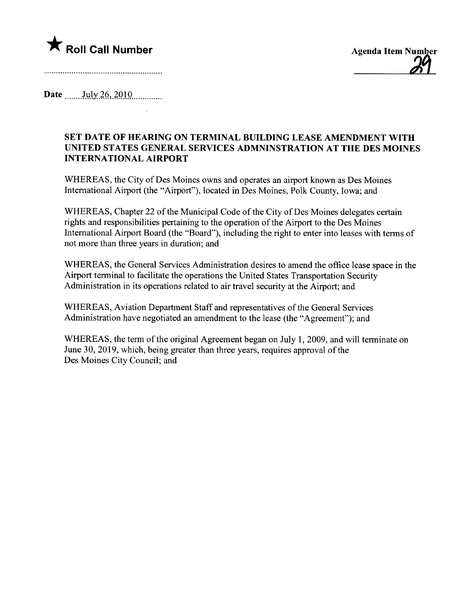



Date  $_{\text{July }26,2010}$ 

## SET DATE OF HEARING ON TERMINAL BUILDING LEASE AMENDMENT WITH UNITED STATES GENERAL SERVICES ADMNINSTRATION AT THE DES MOINES INTERNATIONAL AIRPORT

WHEREAS, the City of Des Moines owns and operates an airport known as Des Moines International Airport (the "Airport"), located in Des Moines, Polk County, Iowa; and

WHEREAS, Chapter 22 of the Municipal Code of the City of Des Moines delegates certain rights and responsibilities pertaining to the operation of the Airport to the Des Moines International Airport Board (the "Board"), including the right to enter into leases with terms of not more than three years in duration; and

WHEREAS, the General Services Administration desires to amend the office lease space in the Airport terminal to facilitate the operations the United States Transportation Security Administration in its operations related to air travel security at the Airport; and

WHEREAS, Aviation Department Staff and representatives of the General Services Administration have negotiated an amendment to the lease (the "Agreement"); and

WHEREAS, the term of the original Agreement began on July 1, 2009, and will terminate on June 30, 2019, which, being greater than three years, requires approval of the Des Moines City Council; and